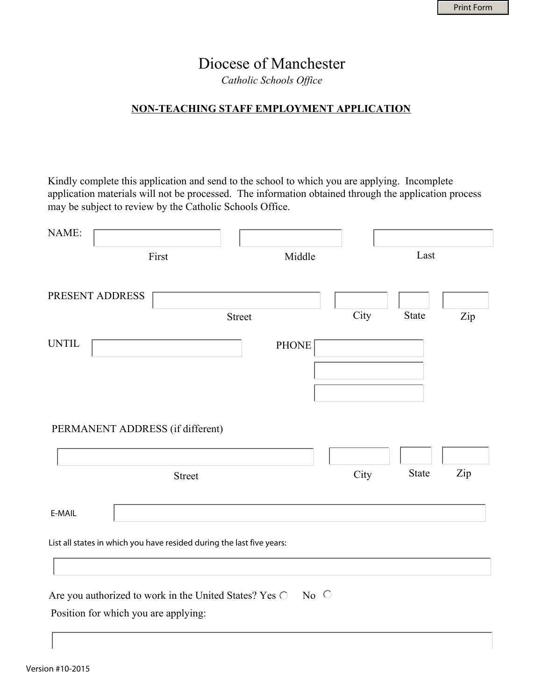# Diocese of Manchester

*Catholic Schools Office* 

## **NON-TEACHING STAFF EMPLOYMENT APPLICATION**

Kindly complete this application and send to the school to which you are applying. Incomplete application materials will not be processed. The information obtained through the application process may be subject to review by the Catholic Schools Office.

| NAME:                                |                                                                       |            |      |              |     |
|--------------------------------------|-----------------------------------------------------------------------|------------|------|--------------|-----|
|                                      | First                                                                 | Middle     |      | Last         |     |
| PRESENT ADDRESS                      |                                                                       |            |      |              |     |
|                                      | <b>Street</b>                                                         |            | City | State        | Zip |
| <b>UNTIL</b>                         |                                                                       | PHONE      |      |              |     |
|                                      |                                                                       |            |      |              |     |
|                                      |                                                                       |            |      |              |     |
| PERMANENT ADDRESS (if different)     |                                                                       |            |      |              |     |
|                                      | <b>Street</b>                                                         |            | City | <b>State</b> | Zip |
| E-MAIL                               |                                                                       |            |      |              |     |
|                                      | List all states in which you have resided during the last five years: |            |      |              |     |
|                                      |                                                                       |            |      |              |     |
|                                      | Are you authorized to work in the United States? Yes O                | No $\circ$ |      |              |     |
| Position for which you are applying: |                                                                       |            |      |              |     |
|                                      |                                                                       |            |      |              |     |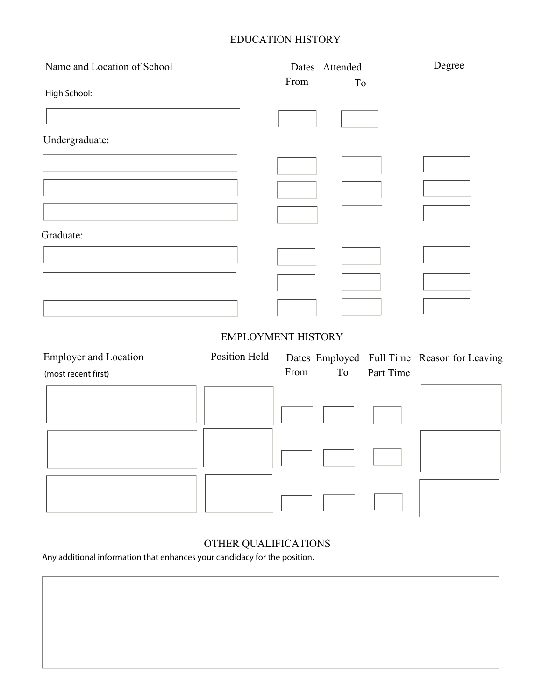# EDUCATION HISTORY

| Name and Location of School  |                           | Dates Attended |    |           | Degree                                      |  |
|------------------------------|---------------------------|----------------|----|-----------|---------------------------------------------|--|
| High School:                 |                           | From           | To |           |                                             |  |
|                              |                           |                |    |           |                                             |  |
|                              |                           |                |    |           |                                             |  |
| Undergraduate:               |                           |                |    |           |                                             |  |
|                              |                           |                |    |           |                                             |  |
|                              |                           |                |    |           |                                             |  |
|                              |                           |                |    |           |                                             |  |
|                              |                           |                |    |           |                                             |  |
| Graduate:                    |                           |                |    |           |                                             |  |
|                              |                           |                |    |           |                                             |  |
|                              |                           |                |    |           |                                             |  |
|                              |                           |                |    |           |                                             |  |
|                              |                           |                |    |           |                                             |  |
|                              | <b>EMPLOYMENT HISTORY</b> |                |    |           |                                             |  |
| <b>Employer and Location</b> | Position Held             |                |    |           | Dates Employed Full Time Reason for Leaving |  |
| (most recent first)          |                           | From           | To | Part Time |                                             |  |
|                              |                           |                |    |           |                                             |  |
|                              |                           |                |    |           |                                             |  |
|                              |                           |                |    |           |                                             |  |
|                              |                           |                |    |           |                                             |  |
|                              |                           |                |    |           |                                             |  |
|                              |                           |                |    |           |                                             |  |
|                              |                           |                |    |           |                                             |  |

# OTHER QUALIFICATIONS

Any additional information that enhances your candidacy for the position.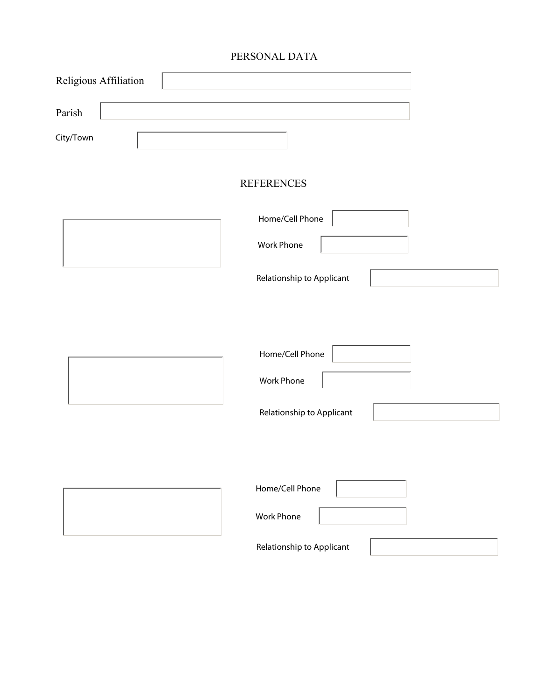# PERSONAL DATA

| Religious Affiliation |                           |
|-----------------------|---------------------------|
| Parish                |                           |
| City/Town             |                           |
|                       | <b>REFERENCES</b>         |
|                       | Home/Cell Phone           |
|                       | <b>Work Phone</b>         |
|                       | Relationship to Applicant |
|                       |                           |
|                       | Home/Cell Phone           |
|                       | Work Phone                |
|                       | Relationship to Applicant |
|                       |                           |
|                       | Home/Cell Phone           |
|                       | <b>Work Phone</b>         |
|                       | Relationship to Applicant |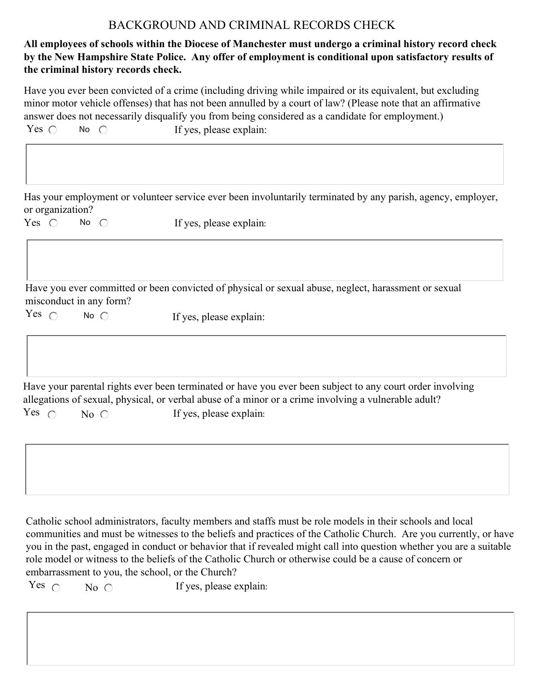# BACKGROUND AND CRIMINAL RECORDS CHECK

## **All employees of schools within the Diocese of Manchester must undergo a criminal history record check by the New Hampshire State Police. Any offer of employment is conditional upon satisfactory results of the criminal history records check.**

Have you ever been convicted of a crime (including driving while impaired or its equivalent, but excluding minor motor vehicle offenses) that has not been annulled by a court of law? (Please note that an affirmative answer does not necessarily disqualify you from being considered as a candidate for employment.) Yes  $\bigcirc$  No  $\bigcirc$  If yes, please explain: No  $\bigcap$ 

Has your employment or volunteer service ever been involuntarily terminated by any parish, agency, employer, or organization?

Yes  $\bigcap$  No  $\bigcap$ If yes, please explain:

Have you ever committed or been convicted of physical or sexual abuse, neglect, harassment or sexual misconduct in any form?

Yes  $\bigcap$  No  $\bigcap$ If yes, please explain:

 $No \nO$  If yes, please explain: Have your parental rights ever been terminated or have you ever been subject to any court order involving allegations of sexual, physical, or verbal abuse of a minor or a crime involving a vulnerable adult? Yes  $\cap$ 

Catholic school administrators, faculty members and staffs must be role models in their schools and local communities and must be witnesses to the beliefs and practices of the Catholic Church. Are you currently, or have you in the past, engaged in conduct or behavior that if revealed might call into question whether you are a suitable role model or witness to the beliefs of the Catholic Church or otherwise could be a cause of concern or embarrassment to you, the school, or the Church?

Yes  $\bigcirc$  No  $\bigcirc$  If yes, please explain: